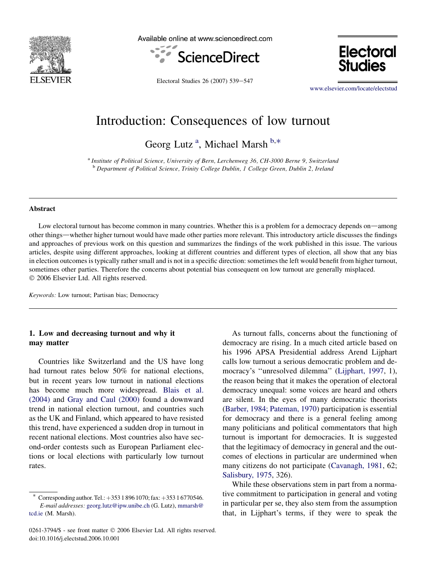

Available online at www.sciencedirect.com



**Electoral Studies** 

Electoral Studies 26 (2007) 539-547

[www.elsevier.com/locate/electstud](http://www.elsevier.com/locate/electstud)

# Introduction: Consequences of low turnout

Georg Lutz<sup>a</sup>, Michael Marsh<sup>b,\*</sup>

<sup>a</sup> Institute of Political Science, University of Bern, Lerchenweg 36, CH-3000 Berne 9, Switzerland <sup>b</sup> Department of Political Science, Trinity College Dublin, 1 College Green, Dublin 2, Ireland

#### Abstract

Low electoral turnout has become common in many countries. Whether this is a problem for a democracy depends on—among other things—whether higher turnout would have made other parties more relevant. This introductory article discusses the findings and approaches of previous work on this question and summarizes the findings of the work published in this issue. The various articles, despite using different approaches, looking at different countries and different types of election, all show that any bias in election outcomes is typically rather small and is not in a specific direction: sometimes the left would benefit from higher turnout, sometimes other parties. Therefore the concerns about potential bias consequent on low turnout are generally misplaced. © 2006 Elsevier Ltd. All rights reserved.

Keywords: Low turnout; Partisan bias; Democracy

# 1. Low and decreasing turnout and why it may matter

Countries like Switzerland and the US have long had turnout rates below 50% for national elections, but in recent years low turnout in national elections has become much more widespread. [Blais et al.](#page-7-0) [\(2004\)](#page-7-0) and [Gray and Caul \(2000\)](#page-7-0) found a downward trend in national election turnout, and countries such as the UK and Finland, which appeared to have resisted this trend, have experienced a sudden drop in turnout in recent national elections. Most countries also have second-order contests such as European Parliament elections or local elections with particularly low turnout rates.

As turnout falls, concerns about the functioning of democracy are rising. In a much cited article based on his 1996 APSA Presidential address Arend Lijphart calls low turnout a serious democratic problem and democracy's ''unresolved dilemma'' ([Lijphart, 1997](#page-7-0), 1), the reason being that it makes the operation of electoral democracy unequal: some voices are heard and others are silent. In the eyes of many democratic theorists [\(Barber, 1984; Pateman, 1970](#page-7-0)) participation is essential for democracy and there is a general feeling among many politicians and political commentators that high turnout is important for democracies. It is suggested that the legitimacy of democracy in general and the outcomes of elections in particular are undermined when many citizens do not participate [\(Cavanagh, 1981,](#page-7-0) 62; [Salisbury, 1975](#page-8-0), 326).

While these observations stem in part from a normative commitment to participation in general and voting in particular per se, they also stem from the assumption that, in Lijphart's terms, if they were to speak the

<sup>\*</sup> Corresponding author. Tel.:  $+35318961070$ ; fax:  $+35316770546$ . E-mail addresses: [georg.lutz@ipw.unibe.ch](mailto:georg.lutz@ipw.unibe.ch) (G. Lutz), [mmarsh@](mailto:mmarsh@tcd.ie) tcd.ie [\(M. Marsh\).](mailto:mmarsh@tcd.ie)

<sup>0261-3794/\$ -</sup> see front matter © 2006 Elsevier Ltd. All rights reserved. doi:10.1016/j.electstud.2006.10.001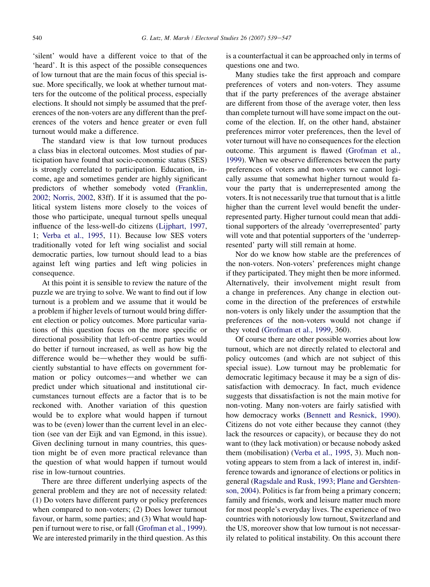'silent' would have a different voice to that of the 'heard'. It is this aspect of the possible consequences of low turnout that are the main focus of this special issue. More specifically, we look at whether turnout matters for the outcome of the political process, especially elections. It should not simply be assumed that the preferences of the non-voters are any different than the preferences of the voters and hence greater or even full turnout would make a difference.

The standard view is that low turnout produces a class bias in electoral outcomes. Most studies of participation have found that socio-economic status (SES) is strongly correlated to participation. Education, income, age and sometimes gender are highly significant predictors of whether somebody voted ([Franklin,](#page-7-0) [2002; Norris, 2002](#page-7-0), 83ff). If it is assumed that the political system listens more closely to the voices of those who participate, unequal turnout spells unequal influence of the less-well-do citizens [\(Lijphart, 1997,](#page-7-0) 1; [Verba et al., 1995,](#page-8-0) 11). Because low SES voters traditionally voted for left wing socialist and social democratic parties, low turnout should lead to a bias against left wing parties and left wing policies in consequence.

At this point it is sensible to review the nature of the puzzle we are trying to solve. We want to find out if low turnout is a problem and we assume that it would be a problem if higher levels of turnout would bring different election or policy outcomes. More particular variations of this question focus on the more specific or directional possibility that left-of-centre parties would do better if turnout increased, as well as how big the difference would be—whether they would be sufficiently substantial to have effects on government formation or policy outcomes—and whether we can predict under which situational and institutional circumstances turnout effects are a factor that is to be reckoned with. Another variation of this question would be to explore what would happen if turnout was to be (even) lower than the current level in an election (see van der Eijk and van Egmond, in this issue). Given declining turnout in many countries, this question might be of even more practical relevance than the question of what would happen if turnout would rise in low-turnout countries.

There are three different underlying aspects of the general problem and they are not of necessity related: (1) Do voters have different party or policy preferences when compared to non-voters; (2) Does lower turnout favour, or harm, some parties; and (3) What would happen if turnout were to rise, or fall [\(Grofman et al., 1999](#page-7-0)). We are interested primarily in the third question. As this

is a counterfactual it can be approached only in terms of questions one and two.

Many studies take the first approach and compare preferences of voters and non-voters. They assume that if the party preferences of the average abstainer are different from those of the average voter, then less than complete turnout will have some impact on the outcome of the election. If, on the other hand, abstainer preferences mirror voter preferences, then the level of voter turnout will have no consequences for the election outcome. This argument is flawed [\(Grofman et al.,](#page-7-0) [1999](#page-7-0)). When we observe differences between the party preferences of voters and non-voters we cannot logically assume that somewhat higher turnout would favour the party that is underrepresented among the voters. It is not necessarily true that turnout that is a little higher than the current level would benefit the underrepresented party. Higher turnout could mean that additional supporters of the already 'overrepresented' party will vote and that potential supporters of the 'underrepresented' party will still remain at home.

Nor do we know how stable are the preferences of the non-voters. Non-voters' preferences might change if they participated. They might then be more informed. Alternatively, their involvement might result from a change in preferences. Any change in election outcome in the direction of the preferences of erstwhile non-voters is only likely under the assumption that the preferences of the non-voters would not change if they voted ([Grofman et al., 1999,](#page-7-0) 360).

Of course there are other possible worries about low turnout, which are not directly related to electoral and policy outcomes (and which are not subject of this special issue). Low turnout may be problematic for democratic legitimacy because it may be a sign of dissatisfaction with democracy. In fact, much evidence suggests that dissatisfaction is not the main motive for non-voting. Many non-voters are fairly satisfied with how democracy works ([Bennett and Resnick, 1990\)](#page-7-0). Citizens do not vote either because they cannot (they lack the resources or capacity), or because they do not want to (they lack motivation) or because nobody asked them (mobilisation) [\(Verba et al., 1995,](#page-8-0) 3). Much nonvoting appears to stem from a lack of interest in, indifference towards and ignorance of elections or politics in general [\(Ragsdale and Rusk, 1993; Plane and Gershten](#page-8-0)[son, 2004\)](#page-8-0). Politics is far from being a primary concern; family and friends, work and leisure matter much more for most people's everyday lives. The experience of two countries with notoriously low turnout, Switzerland and the US, moreover show that low turnout is not necessarily related to political instability. On this account there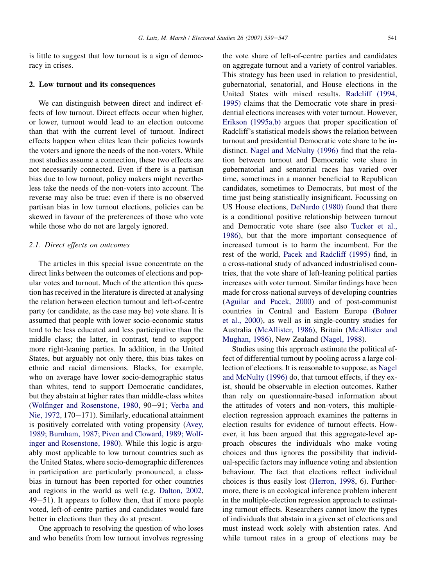is little to suggest that low turnout is a sign of democracy in crises.

## 2. Low turnout and its consequences

We can distinguish between direct and indirect effects of low turnout. Direct effects occur when higher, or lower, turnout would lead to an election outcome than that with the current level of turnout. Indirect effects happen when elites lean their policies towards the voters and ignore the needs of the non-voters. While most studies assume a connection, these two effects are not necessarily connected. Even if there is a partisan bias due to low turnout, policy makers might nevertheless take the needs of the non-voters into account. The reverse may also be true: even if there is no observed partisan bias in low turnout elections, policies can be skewed in favour of the preferences of those who vote while those who do not are largely ignored.

### 2.1. Direct effects on outcomes

The articles in this special issue concentrate on the direct links between the outcomes of elections and popular votes and turnout. Much of the attention this question has received in the literature is directed at analysing the relation between election turnout and left-of-centre party (or candidate, as the case may be) vote share. It is assumed that people with lower socio-economic status tend to be less educated and less participative than the middle class; the latter, in contrast, tend to support more right-leaning parties. In addition, in the United States, but arguably not only there, this bias takes on ethnic and racial dimensions. Blacks, for example, who on average have lower socio-demographic status than whites, tend to support Democratic candidates, but they abstain at higher rates than middle-class whites [\(Wolfinger and Rosenstone, 1980](#page-8-0), 90-91; [Verba and](#page-8-0) [Nie, 1972,](#page-8-0) 170–171). Similarly, educational attainment is positively correlated with voting propensity [\(Avey,](#page-7-0) [1989; Burnham, 1987; Piven and Cloward, 1989; Wolf](#page-7-0)[inger and Rosenstone, 1980\)](#page-7-0). While this logic is arguably most applicable to low turnout countries such as the United States, where socio-demographic differences in participation are particularly pronounced, a classbias in turnout has been reported for other countries and regions in the world as well (e.g. [Dalton, 2002,](#page-7-0)  $49-51$ ). It appears to follow then, that if more people voted, left-of-centre parties and candidates would fare better in elections than they do at present.

One approach to resolving the question of who loses and who benefits from low turnout involves regressing

the vote share of left-of-centre parties and candidates on aggregate turnout and a variety of control variables. This strategy has been used in relation to presidential, gubernatorial, senatorial, and House elections in the United States with mixed results. [Radcliff \(1994,](#page-8-0) [1995\)](#page-8-0) claims that the Democratic vote share in presidential elections increases with voter turnout. However, [Erikson \(1995a,b\)](#page-7-0) argues that proper specification of Radcliff's statistical models shows the relation between turnout and presidential Democratic vote share to be indistinct. [Nagel and McNulty \(1996\)](#page-8-0) find that the relation between turnout and Democratic vote share in gubernatorial and senatorial races has varied over time, sometimes in a manner beneficial to Republican candidates, sometimes to Democrats, but most of the time just being statistically insignificant. Focussing on US House elections, [DeNardo \(1980\)](#page-7-0) found that there is a conditional positive relationship between turnout and Democratic vote share (see also [Tucker et al.,](#page-8-0) [1986\)](#page-8-0), but that the more important consequence of increased turnout is to harm the incumbent. For the rest of the world, [Pacek and Radcliff \(1995\)](#page-8-0) find, in a cross-national study of advanced industrialised countries, that the vote share of left-leaning political parties increases with voter turnout. Similar findings have been made for cross-national surveys of developing countries [\(Aguilar and Pacek, 2000\)](#page-7-0) and of post-communist countries in Central and Eastern Europe [\(Bohrer](#page-7-0) [et al., 2000\)](#page-7-0), as well as in single-country studies for Australia [\(McAllister, 1986\)](#page-8-0), Britain [\(McAllister and](#page-8-0) [Mughan, 1986\)](#page-8-0), New Zealand [\(Nagel, 1988\)](#page-8-0).

Studies using this approach estimate the political effect of differential turnout by pooling across a large collection of elections. It is reasonable to suppose, as [Nagel](#page-8-0) [and McNulty \(1996\)](#page-8-0) do, that turnout effects, if they exist, should be observable in election outcomes. Rather than rely on questionnaire-based information about the attitudes of voters and non-voters, this multipleelection regression approach examines the patterns in election results for evidence of turnout effects. However, it has been argued that this aggregate-level approach obscures the individuals who make voting choices and thus ignores the possibility that individual-specific factors may influence voting and abstention behaviour. The fact that elections reflect individual choices is thus easily lost [\(Herron, 1998,](#page-7-0) 6). Furthermore, there is an ecological inference problem inherent in the multiple-election regression approach to estimating turnout effects. Researchers cannot know the types of individuals that abstain in a given set of elections and must instead work solely with abstention rates. And while turnout rates in a group of elections may be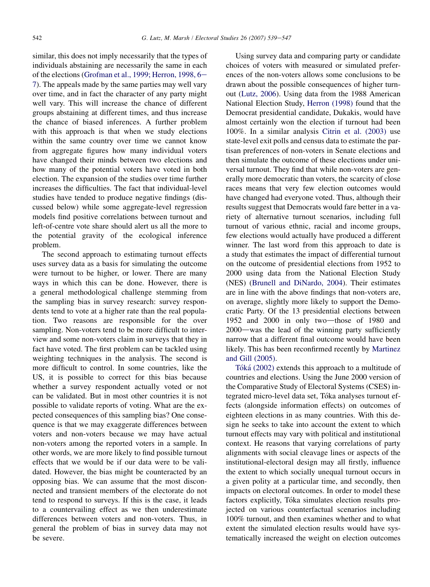similar, this does not imply necessarily that the types of individuals abstaining are necessarily the same in each of the elections ([Grofman et al., 1999; Herron, 1998, 6](#page-7-0)-[7](#page-7-0)). The appeals made by the same parties may well vary over time, and in fact the character of any party might well vary. This will increase the chance of different groups abstaining at different times, and thus increase the chance of biased inferences. A further problem with this approach is that when we study elections within the same country over time we cannot know from aggregate figures how many individual voters have changed their minds between two elections and how many of the potential voters have voted in both election. The expansion of the studies over time further increases the difficulties. The fact that individual-level studies have tended to produce negative findings (discussed below) while some aggregate-level regression models find positive correlations between turnout and left-of-centre vote share should alert us all the more to the potential gravity of the ecological inference problem.

The second approach to estimating turnout effects uses survey data as a basis for simulating the outcome were turnout to be higher, or lower. There are many ways in which this can be done. However, there is a general methodological challenge stemming from the sampling bias in survey research: survey respondents tend to vote at a higher rate than the real population. Two reasons are responsible for the over sampling. Non-voters tend to be more difficult to interview and some non-voters claim in surveys that they in fact have voted. The first problem can be tackled using weighting techniques in the analysis. The second is more difficult to control. In some countries, like the US, it is possible to correct for this bias because whether a survey respondent actually voted or not can be validated. But in most other countries it is not possible to validate reports of voting. What are the expected consequences of this sampling bias? One consequence is that we may exaggerate differences between voters and non-voters because we may have actual non-voters among the reported voters in a sample. In other words, we are more likely to find possible turnout effects that we would be if our data were to be validated. However, the bias might be counteracted by an opposing bias. We can assume that the most disconnected and transient members of the electorate do not tend to respond to surveys. If this is the case, it leads to a countervailing effect as we then underestimate differences between voters and non-voters. Thus, in general the problem of bias in survey data may not be severe.

Using survey data and comparing party or candidate choices of voters with measured or simulated preferences of the non-voters allows some conclusions to be drawn about the possible consequences of higher turnout ([Lutz, 2006\)](#page-8-0). Using data from the 1988 American National Election Study, [Herron \(1998\)](#page-7-0) found that the Democrat presidential candidate, Dukakis, would have almost certainly won the election if turnout had been 100%. In a similar analysis [Citrin et al. \(2003\)](#page-7-0) use state-level exit polls and census data to estimate the partisan preferences of non-voters in Senate elections and then simulate the outcome of these elections under universal turnout. They find that while non-voters are generally more democratic than voters, the scarcity of close races means that very few election outcomes would have changed had everyone voted. Thus, although their results suggest that Democrats would fare better in a variety of alternative turnout scenarios, including full turnout of various ethnic, racial and income groups, few elections would actually have produced a different winner. The last word from this approach to date is a study that estimates the impact of differential turnout on the outcome of presidential elections from 1952 to 2000 using data from the National Election Study (NES) [\(Brunell and DiNardo, 2004\)](#page-7-0). Their estimates are in line with the above findings that non-voters are, on average, slightly more likely to support the Democratic Party. Of the 13 presidential elections between 1952 and 2000 in only two-those of 1980 and 2000—was the lead of the winning party sufficiently narrow that a different final outcome would have been likely. This has been reconfirmed recently by [Martinez](#page-8-0) [and Gill \(2005\).](#page-8-0)

Tóká [\(2002\)](#page-8-0) extends this approach to a multitude of countries and elections. Using the June 2000 version of the Comparative Study of Electoral Systems (CSES) integrated micro-level data set, Tóka analyses turnout effects (alongside information effects) on outcomes of eighteen elections in as many countries. With this design he seeks to take into account the extent to which turnout effects may vary with political and institutional context. He reasons that varying correlations of party alignments with social cleavage lines or aspects of the institutional-electoral design may all firstly, influence the extent to which socially unequal turnout occurs in a given polity at a particular time, and secondly, then impacts on electoral outcomes. In order to model these factors explicitly, Tóka simulates election results projected on various counterfactual scenarios including 100% turnout, and then examines whether and to what extent the simulated election results would have systematically increased the weight on election outcomes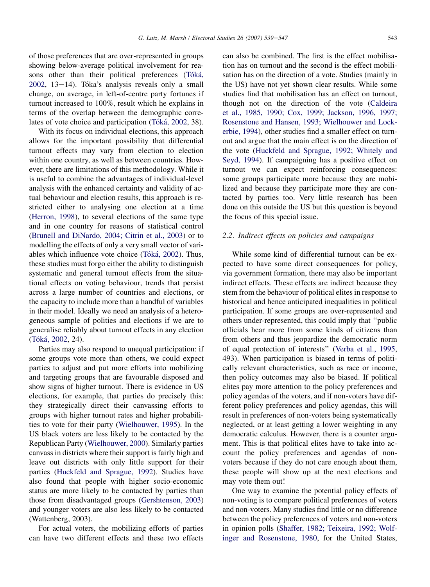of those preferences that are over-represented in groups showing below-average political involvement for reasons other than their political preferences (Tóká,  $2002$ ,  $13-14$ ). Tóka's analysis reveals only a small change, on average, in left-of-centre party fortunes if turnout increased to 100%, result which he explains in terms of the overlap between the demographic correlates of vote choice and participation (Tóká, 2002, 38).

With its focus on individual elections, this approach allows for the important possibility that differential turnout effects may vary from election to election within one country, as well as between countries. However, there are limitations of this methodology. While it is useful to combine the advantages of individual-level analysis with the enhanced certainty and validity of actual behaviour and election results, this approach is restricted either to analysing one election at a time [\(Herron, 1998\)](#page-7-0), to several elections of the same type and in one country for reasons of statistical control [\(Brunell and DiNardo, 2004; Citrin et al., 2003\)](#page-7-0) or to modelling the effects of only a very small vector of variables which influence vote choice (Tóká, 2002). Thus, these studies must forgo either the ability to distinguish systematic and general turnout effects from the situational effects on voting behaviour, trends that persist across a large number of countries and elections, or the capacity to include more than a handful of variables in their model. Ideally we need an analysis of a heterogeneous sample of polities and elections if we are to generalise reliably about turnout effects in any election (Tóká, 2002, 24).

Parties may also respond to unequal participation: if some groups vote more than others, we could expect parties to adjust and put more efforts into mobilizing and targeting groups that are favourable disposed and show signs of higher turnout. There is evidence in US elections, for example, that parties do precisely this: they strategically direct their canvassing efforts to groups with higher turnout rates and higher probabilities to vote for their party [\(Wielhouwer, 1995\)](#page-8-0). In the US black voters are less likely to be contacted by the Republican Party ([Wielhouwer, 2000](#page-8-0)). Similarly parties canvass in districts where their support is fairly high and leave out districts with only little support for their parties ([Huckfeld and Sprague, 1992\)](#page-7-0). Studies have also found that people with higher socio-economic status are more likely to be contacted by parties than those from disadvantaged groups ([Gershtenson, 2003\)](#page-7-0) and younger voters are also less likely to be contacted (Wattenberg, 2003).

For actual voters, the mobilizing efforts of parties can have two different effects and these two effects

can also be combined. The first is the effect mobilisation has on turnout and the second is the effect mobilisation has on the direction of a vote. Studies (mainly in the US) have not yet shown clear results. While some studies find that mobilisation has an effect on turnout, though not on the direction of the vote [\(Caldeira](#page-7-0) [et al., 1985, 1990; Cox, 1999; Jackson, 1996, 1997;](#page-7-0) [Rosenstone and Hansen, 1993; Wielhouwer and Lock](#page-7-0)[erbie, 1994](#page-7-0)), other studies find a smaller effect on turnout and argue that the main effect is on the direction of the vote ([Huckfeld and Sprague, 1992; Whitely and](#page-7-0) [Seyd, 1994](#page-7-0)). If campaigning has a positive effect on turnout we can expect reinforcing consequences: some groups participate more because they are mobilized and because they participate more they are contacted by parties too. Very little research has been done on this outside the US but this question is beyond the focus of this special issue.

# 2.2. Indirect effects on policies and campaigns

While some kind of differential turnout can be expected to have some direct consequences for policy, via government formation, there may also be important indirect effects. These effects are indirect because they stem from the behaviour of political elites in response to historical and hence anticipated inequalities in political participation. If some groups are over-represented and others under-represented, this could imply that ''public officials hear more from some kinds of citizens than from others and thus jeopardize the democratic norm of equal protection of interests'' ([Verba et al., 1995,](#page-8-0) 493). When participation is biased in terms of politically relevant characteristics, such as race or income, then policy outcomes may also be biased. If political elites pay more attention to the policy preferences and policy agendas of the voters, and if non-voters have different policy preferences and policy agendas, this will result in preferences of non-voters being systematically neglected, or at least getting a lower weighting in any democratic calculus. However, there is a counter argument. This is that political elites have to take into account the policy preferences and agendas of nonvoters because if they do not care enough about them, these people will show up at the next elections and may vote them out!

One way to examine the potential policy effects of non-voting is to compare political preferences of voters and non-voters. Many studies find little or no difference between the policy preferences of voters and non-voters in opinion polls ([Shaffer, 1982; Teixeira, 1992; Wolf](#page-8-0)[inger and Rosenstone, 1980,](#page-8-0) for the United States,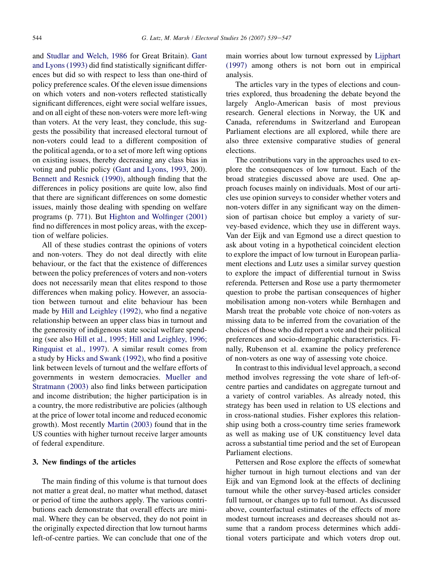and [Studlar and Welch, 1986](#page-8-0) for Great Britain). [Gant](#page-7-0) [and Lyons \(1993\)](#page-7-0) did find statistically significant differences but did so with respect to less than one-third of policy preference scales. Of the eleven issue dimensions on which voters and non-voters reflected statistically significant differences, eight were social welfare issues, and on all eight of these non-voters were more left-wing than voters. At the very least, they conclude, this suggests the possibility that increased electoral turnout of non-voters could lead to a different composition of the political agenda, or to a set of more left wing options on existing issues, thereby decreasing any class bias in voting and public policy [\(Gant and Lyons, 1993](#page-7-0), 200). [Bennett and Resnick \(1990\),](#page-7-0) although finding that the differences in policy positions are quite low, also find that there are significant differences on some domestic issues, mainly those dealing with spending on welfare programs (p. 771). But [Highton and Wolfinger \(2001\)](#page-7-0) find no differences in most policy areas, with the exception of welfare policies.

All of these studies contrast the opinions of voters and non-voters. They do not deal directly with elite behaviour, or the fact that the existence of differences between the policy preferences of voters and non-voters does not necessarily mean that elites respond to those differences when making policy. However, an association between turnout and elite behaviour has been made by [Hill and Leighley \(1992\)](#page-7-0), who find a negative relationship between an upper class bias in turnout and the generosity of indigenous state social welfare spending (see also [Hill et al., 1995; Hill and Leighley, 1996;](#page-7-0) [Ringquist et al., 1997\)](#page-7-0). A similar result comes from a study by [Hicks and Swank \(1992\)](#page-7-0), who find a positive link between levels of turnout and the welfare efforts of governments in western democracies. [Mueller and](#page-8-0) [Stratmann \(2003\)](#page-8-0) also find links between participation and income distribution; the higher participation is in a country, the more redistributive are policies (although at the price of lower total income and reduced economic growth). Most recently [Martin \(2003\)](#page-8-0) found that in the US counties with higher turnout receive larger amounts of federal expenditure.

#### 3. New findings of the articles

The main finding of this volume is that turnout does not matter a great deal, no matter what method, dataset or period of time the authors apply. The various contributions each demonstrate that overall effects are minimal. Where they can be observed, they do not point in the originally expected direction that low turnout harms left-of-centre parties. We can conclude that one of the main worries about low turnout expressed by [Lijphart](#page-7-0) [\(1997\)](#page-7-0) among others is not born out in empirical analysis.

The articles vary in the types of elections and countries explored, thus broadening the debate beyond the largely Anglo-American basis of most previous research. General elections in Norway, the UK and Canada, referendums in Switzerland and European Parliament elections are all explored, while there are also three extensive comparative studies of general elections.

The contributions vary in the approaches used to explore the consequences of low turnout. Each of the broad strategies discussed above are used. One approach focuses mainly on individuals. Most of our articles use opinion surveys to consider whether voters and non-voters differ in any significant way on the dimension of partisan choice but employ a variety of survey-based evidence, which they use in different ways. Van der Eijk and van Egmond use a direct question to ask about voting in a hypothetical coincident election to explore the impact of low turnout in European parliament elections and Lutz uses a similar survey question to explore the impact of differential turnout in Swiss referenda. Pettersen and Rose use a party thermometer question to probe the partisan consequences of higher mobilisation among non-voters while Bernhagen and Marsh treat the probable vote choice of non-voters as missing data to be inferred from the covariation of the choices of those who did report a vote and their political preferences and socio-demographic characteristics. Finally, Rubenson et al. examine the policy preference of non-voters as one way of assessing vote choice.

In contrast to this individual level approach, a second method involves regressing the vote share of left-ofcentre parties and candidates on aggregate turnout and a variety of control variables. As already noted, this strategy has been used in relation to US elections and in cross-national studies. Fisher explores this relationship using both a cross-country time series framework as well as making use of UK constituency level data across a substantial time period and the set of European Parliament elections.

Pettersen and Rose explore the effects of somewhat higher turnout in high turnout elections and van der Eijk and van Egmond look at the effects of declining turnout while the other survey-based articles consider full turnout, or changes up to full turnout. As discussed above, counterfactual estimates of the effects of more modest turnout increases and decreases should not assume that a random process determines which additional voters participate and which voters drop out.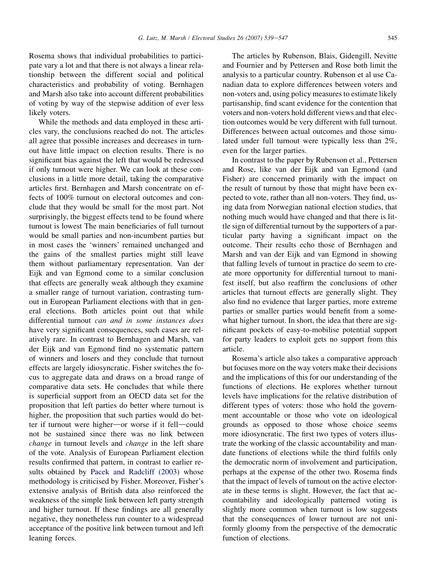Rosema shows that individual probabilities to participate vary a lot and that there is not always a linear relationship between the different social and political characteristics and probability of voting. Bernhagen and Marsh also take into account different probabilities

of voting by way of the stepwise addition of ever less

likely voters. While the methods and data employed in these articles vary, the conclusions reached do not. The articles all agree that possible increases and decreases in turnout have little impact on election results. There is no significant bias against the left that would be redressed if only turnout were higher. We can look at these conclusions in a little more detail, taking the comparative articles first. Bernhagen and Marsh concentrate on effects of 100% turnout on electoral outcomes and conclude that they would be small for the most part. Not surprisingly, the biggest effects tend to be found where turnout is lowest The main beneficiaries of full turnout would be small parties and non-incumbent parties but in most cases the 'winners' remained unchanged and the gains of the smallest parties might still leave them without parliamentary representation. Van der Eijk and van Egmond come to a similar conclusion that effects are generally weak although they examine a smaller range of turnout variation, contrasting turnout in European Parliament elections with that in general elections. Both articles point out that while differential turnout can and in some instances does have very significant consequences, such cases are relatively rare. In contrast to Bernhagen and Marsh, van der Eijk and van Egmond find no systematic pattern of winners and losers and they conclude that turnout effects are largely idiosyncratic. Fisher switches the focus to aggregate data and draws on a broad range of comparative data sets. He concludes that while there is superficial support from an OECD data set for the proposition that left parties do better where turnout is higher, the proposition that such parties would do better if turnout were higher-or worse if it fell-could not be sustained since there was no link between change in turnout levels and change in the left share of the vote. Analysis of European Parliament election results confirmed that pattern, in contrast to earlier results obtained by [Pacek and Radcliff \(2003\)](#page-8-0) whose methodology is criticised by Fisher. Moreover, Fisher's extensive analysis of British data also reinforced the weakness of the simple link between left party strength and higher turnout. If these findings are all generally negative, they nonetheless run counter to a widespread acceptance of the positive link between turnout and left leaning forces.

The articles by Rubenson, Blais, Gidengill, Nevitte and Fournier and by Pettersen and Rose both limit the analysis to a particular country. Rubenson et al use Canadian data to explore differences between voters and non-voters and, using policy measures to estimate likely partisanship, find scant evidence for the contention that voters and non-voters hold different views and that election outcomes would be very different with full turnout. Differences between actual outcomes and those simulated under full turnout were typically less than 2%, even for the larger parties.

In contrast to the paper by Rubenson et al., Pettersen and Rose, like van der Eijk and van Egmond (and Fisher) are concerned primarily with the impact on the result of turnout by those that might have been expected to vote, rather than all non-voters. They find, using data from Norwegian national election studies, that nothing much would have changed and that there is little sign of differential turnout by the supporters of a particular party having a significant impact on the outcome. Their results echo those of Bernhagen and Marsh and van der Eijk and van Egmond in showing that falling levels of turnout in practice do seem to create more opportunity for differential turnout to manifest itself, but also reaffirm the conclusions of other articles that turnout effects are generally slight. They also find no evidence that larger parties, more extreme parties or smaller parties would benefit from a somewhat higher turnout. In short, the idea that there are significant pockets of easy-to-mobilise potential support for party leaders to exploit gets no support from this article.

Rosema's article also takes a comparative approach but focuses more on the way voters make their decisions and the implications of this for our understanding of the functions of elections. He explores whether turnout levels have implications for the relative distribution of different types of voters: those who hold the government accountable or those who vote on ideological grounds as opposed to those whose choice seems more idiosyncratic. The first two types of voters illustrate the working of the classic accountability and mandate functions of elections while the third fulfils only the democratic norm of involvement and participation, perhaps at the expense of the other two. Rosema finds that the impact of levels of turnout on the active electorate in these terms is slight. However, the fact that accountability and ideologically patterned voting is slightly more common when turnout is low suggests that the consequences of lower turnout are not uniformly gloomy from the perspective of the democratic function of elections.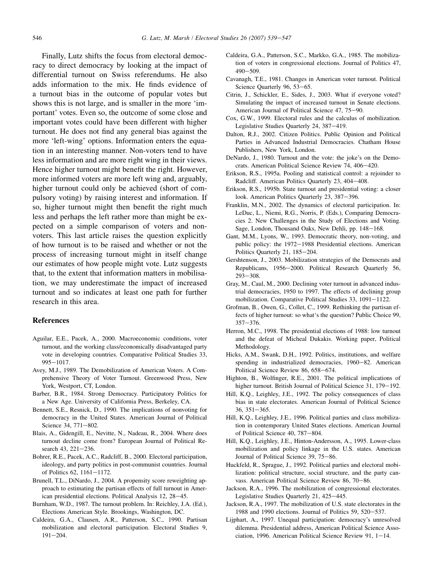<span id="page-7-0"></span>Finally, Lutz shifts the focus from electoral democracy to direct democracy by looking at the impact of differential turnout on Swiss referendums. He also adds information to the mix. He finds evidence of a turnout bias in the outcome of popular votes but shows this is not large, and is smaller in the more 'important' votes. Even so, the outcome of some close and important votes could have been different with higher turnout. He does not find any general bias against the more 'left-wing' options. Information enters the equation in an interesting manner. Non-voters tend to have less information and are more right wing in their views. Hence higher turnout might benefit the right. However, more informed voters are more left wing and, arguably, higher turnout could only be achieved (short of compulsory voting) by raising interest and information. If so, higher turnout might then benefit the right much less and perhaps the left rather more than might be expected on a simple comparison of voters and nonvoters. This last article raises the question explicitly of how turnout is to be raised and whether or not the process of increasing turnout might in itself change our estimates of how people might vote. Lutz suggests that, to the extent that information matters in mobilisation, we may underestimate the impact of increased turnout and so indicates at least one path for further research in this area.

# References

- Aguilar, E.E., Pacek, A., 2000. Macroeconomic conditions, voter turnout, and the working class/economically disadvantaged party vote in developing countries. Comparative Political Studies 33,  $995 - 1017.$
- Avey, M.J., 1989. The Demobilization of American Voters. A Comprehensive Theory of Voter Turnout. Greenwood Press, New York, Westport, CT, London.
- Barber, B.R., 1984. Strong Democracy. Participatory Politics for a New Age. University of California Press, Berkeley, CA.
- Bennett, S.E., Resnick, D., 1990. The implications of nonvoting for democracy in the United States. American Journal of Political Science 34, 771-802.
- Blais, A., Gidengill, E., Nevitte, N., Nadeau, R., 2004. Where does turnout decline come from? European Journal of Political Research 43, 221-236.
- Bohrer, R.E., Pacek, A.C., Radcliff, B., 2000. Electoral participation, ideology, and party politics in post-communist countries. Journal of Politics 62, 1161-1172.
- Brunell, T.L., DiNardo, J., 2004. A propensity score reweighting approach to estimating the partisan effects of full turnout in American presidential elections. Political Analysis 12, 28-45.
- Burnham, W.D., 1987. The turnout problem. In: Reichley, J.A. (Ed.), Elections American Style. Brookings, Washington, DC.
- Caldeira, G.A., Clausen, A.R., Patterson, S.C., 1990. Partisan mobilization and electoral participation. Electoral Studies 9,  $191 - 204$ .
- Caldeira, G.A., Patterson, S.C., Markko, G.A., 1985. The mobilization of voters in congressional elections. Journal of Politics 47,  $490 - 509$ .
- Cavanagh, T.E., 1981. Changes in American voter turnout. Political Science Quarterly 96, 53-65.
- Citrin, J., Schickler, E., Sides, J., 2003. What if everyone voted? Simulating the impact of increased turnout in Senate elections. American Journal of Political Science 47, 75-90.
- Cox, G.W., 1999. Electoral rules and the calculus of mobilization. Legislative Studies Quarterly 24, 387-419.
- Dalton, R.J., 2002. Citizen Politics. Public Opinion and Political Parties in Advanced Industrial Democracies. Chatham House Publishers, New York, London.
- DeNardo, J., 1980. Turnout and the vote: the joke's on the Democrats. American Political Science Review 74, 406-420.
- Erikson, R.S., 1995a. Pooling and statistical control: a rejoinder to Radcliff. American Politics Quarterly 23, 404-408.
- Erikson, R.S., 1995b. State turnout and presidential voting: a closer look. American Politics Quarterly 23, 387-396.
- Franklin, M.N., 2002. The dynamics of electoral participation. In: LeDuc, L., Niemi, R.G., Norris, P. (Eds.), Comparing Democracies 2. New Challenges in the Study of Elections and Voting. Sage, London, Thousand Oaks, New Dehli, pp. 148-168.
- Gant, M.M., Lyons, W., 1993. Democratic theory, non-voting, and public policy: the 1972-1988 Presidential elections. American Politics Quarterly 21, 185-204.
- Gershtenson, J., 2003. Mobilization strategies of the Democrats and Republicans, 1956-2000. Political Research Quarterly 56,  $293 - 308.$
- Gray, M., Caul, M., 2000. Declining voter turnout in advanced industrial democracies, 1950 to 1997. The effects of declining group mobilization. Comparative Political Studies  $33$ ,  $1091-1122$ .
- Grofman, B., Owen, G., Collet, C., 1999. Rethinking the partisan effects of higher turnout: so what's the question? Public Choice 99,  $357 - 376.$
- Herron, M.C., 1998. The presidential elections of 1988: low turnout and the defeat of Micheal Dukakis. Working paper, Political **Methodology**
- Hicks, A.M., Swank, D.H., 1992. Politics, institutions, and welfare spending in industrialized democracies,  $1960-82$ . American Political Science Review 86, 658-674.
- Highton, B., Wolfinger, R.E., 2001. The political implications of higher turnout. British Journal of Political Science 31, 179-192.
- Hill, K.Q., Leighley, J.E., 1992. The policy consequences of class bias in state electorates. American Journal of Political Science  $36, 351 - 365.$
- Hill, K.Q., Leighley, J.E., 1996. Political parties and class mobilization in contemporary United States elections. American Journal of Political Science 40, 787-804.
- Hill, K.Q., Leighley, J.E., Hinton-Andersson, A., 1995. Lower-class mobilization and policy linkage in the U.S. states. American Journal of Political Science 39, 75-86.
- Huckfeld, R., Sprague, J., 1992. Political parties and electoral mobilization: political structure, social structure, and the party canvass. American Political Science Review 86, 70-86.
- Jackson, R.A., 1996. The mobilization of congressional electorates. Legislative Studies Quarterly 21, 425–445.
- Jackson, R.A., 1997. The mobilization of U.S. state electorates in the 1988 and 1990 elections. Journal of Politics 59, 520-537.
- Lijphart, A., 1997. Unequal participation: democracy's unresolved dilemma. Presidential address, American Political Science Association, 1996. American Political Science Review 91,  $1-14$ .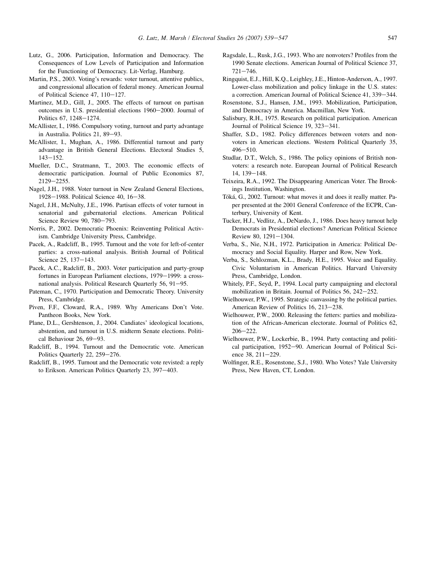- <span id="page-8-0"></span>Lutz, G., 2006. Participation, Information and Democracy. The Consequences of Low Levels of Participation and Information for the Functioning of Democracy. Lit-Verlag, Hamburg.
- Martin, P.S., 2003. Voting's rewards: voter turnout, attentive publics, and congressional allocation of federal money. American Journal of Political Science 47,  $110-127$ .
- Martinez, M.D., Gill, J., 2005. The effects of turnout on partisan outcomes in U.S. presidential elections 1960-2000. Journal of Politics 67, 1248-1274.
- McAllister, I., 1986. Compulsory voting, turnout and party advantage in Australia. Politics 21, 89-93.
- McAllister, I., Mughan, A., 1986. Differential turnout and party advantage in British General Elections. Electoral Studies 5,  $143 - 152$ .
- Mueller, D.C., Stratmann, T., 2003. The economic effects of democratic participation. Journal of Public Economics 87, 2129-2255.
- Nagel, J.H., 1988. Voter turnout in New Zealand General Elections, 1928-1988. Political Science 40, 16-38.
- Nagel, J.H., McNulty, J.E., 1996. Partisan effects of voter turnout in senatorial and gubernatorial elections. American Political Science Review 90, 780-793.
- Norris, P., 2002. Democratic Phoenix: Reinventing Political Activism. Cambridge University Press, Cambridge.
- Pacek, A., Radcliff, B., 1995. Turnout and the vote for left-of-center parties: a cross-national analysis. British Journal of Political Science 25, 137-143.
- Pacek, A.C., Radcliff, B., 2003. Voter participation and party-group fortunes in European Parliament elections, 1979-1999: a crossnational analysis. Political Research Quarterly  $56$ ,  $91-95$ .
- Pateman, C., 1970. Participation and Democratic Theory. University Press, Cambridge.
- Piven, F.F., Cloward, R.A., 1989. Why Americans Don't Vote. Pantheon Books, New York.
- Plane, D.L., Gershtenson, J., 2004. Candiates' ideological locations, abstention, and turnout in U.S. midterm Senate elections. Political Behaviour 26, 69-93.
- Radcliff, B., 1994. Turnout and the Democratic vote. American Politics Quarterly 22, 259-276.
- Radcliff, B., 1995. Turnout and the Democratic vote revisted: a reply to Erikson. American Politics Quarterly 23, 397-403.
- Ragsdale, L., Rusk, J.G., 1993. Who are nonvoters? Profiles from the 1990 Senate elections. American Journal of Political Science 37,  $721 - 746$
- Ringquist, E.J., Hill, K.Q., Leighley, J.E., Hinton-Anderson, A., 1997. Lower-class mobilization and policy linkage in the U.S. states: a correction. American Journal of Political Science 41, 339-344.
- Rosenstone, S.J., Hansen, J.M., 1993. Mobilization, Participation, and Democracy in America. Macmillan, New York.
- Salisbury, R.H., 1975. Research on political participation. American Journal of Political Science 19, 323-341.
- Shaffer, S.D., 1982. Policy differences between voters and nonvoters in American elections. Western Political Quarterly 35, 496-510.
- Studlar, D.T., Welch, S., 1986. The policy opinions of British nonvoters: a research note. European Journal of Political Research 14, 139-148.
- Teixeira, R.A., 1992. The Disappearing American Voter. The Brookings Institution, Washington.
- Tóká, G., 2002. Turnout: what moves it and does it really matter. Paper presented at the 2001 General Conference of the ECPR, Canterbury, University of Kent.
- Tucker, H.J., Vedlitz, A., DeNardo, J., 1986. Does heavy turnout help Democrats in Presidential elections? American Political Science Review 80, 1291-1304.
- Verba, S., Nie, N.H., 1972. Participation in America: Political Democracy and Social Equality. Harper and Row, New York.
- Verba, S., Schlozman, K.L., Brady, H.E., 1995. Voice and Equality. Civic Voluntarism in American Politics. Harvard University Press, Cambridge, London.
- Whitely, P.F., Seyd, P., 1994. Local party campaigning and electoral mobilization in Britain. Journal of Politics  $56$ ,  $242-252$ .
- Wielhouwer, P.W., 1995. Strategic canvassing by the political parties. American Review of Politics 16, 213-238.
- Wielhouwer, P.W., 2000. Releasing the fetters: parties and mobilization of the African-American electorate. Journal of Politics 62,  $206 - 222$
- Wielhouwer, P.W., Lockerbie, B., 1994. Party contacting and political participation, 1952-90. American Journal of Political Science  $38, 211 - 229$ .
- Wolfinger, R.E., Rosenstone, S.J., 1980. Who Votes? Yale University Press, New Haven, CT, London.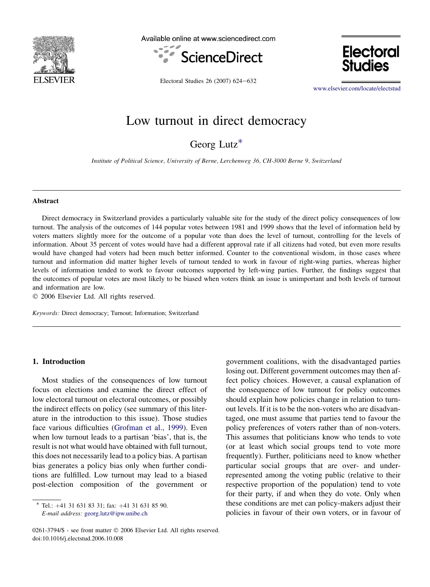

Available online at www.sciencedirect.com





Electoral Studies 26 (2007) 624-632

[www.elsevier.com/locate/electstud](http://www.elsevier.com/locate/electstud)

# Low turnout in direct democracy

Georg  $Lutz^*$ 

Institute of Political Science, University of Berne, Lerchenweg 36, CH-3000 Berne 9, Switzerland

#### Abstract

Direct democracy in Switzerland provides a particularly valuable site for the study of the direct policy consequences of low turnout. The analysis of the outcomes of 144 popular votes between 1981 and 1999 shows that the level of information held by voters matters slightly more for the outcome of a popular vote than does the level of turnout, controlling for the levels of information. About 35 percent of votes would have had a different approval rate if all citizens had voted, but even more results would have changed had voters had been much better informed. Counter to the conventional wisdom, in those cases where turnout and information did matter higher levels of turnout tended to work in favour of right-wing parties, whereas higher levels of information tended to work to favour outcomes supported by left-wing parties. Further, the findings suggest that the outcomes of popular votes are most likely to be biased when voters think an issue is unimportant and both levels of turnout and information are low.

 $© 2006 Elsevier Ltd. All rights reserved.$ 

Keywords: Direct democracy; Turnout; Information; Switzerland

## 1. Introduction

Most studies of the consequences of low turnout focus on elections and examine the direct effect of low electoral turnout on electoral outcomes, or possibly the indirect effects on policy (see summary of this literature in the introduction to this issue). Those studies face various difficulties ([Grofman et al., 1999](#page-17-0)). Even when low turnout leads to a partisan 'bias', that is, the result is not what would have obtained with full turnout, this does not necessarily lead to a policy bias. A partisan bias generates a policy bias only when further conditions are fulfilled. Low turnout may lead to a biased post-election composition of the government or

government coalitions, with the disadvantaged parties losing out. Different government outcomes may then affect policy choices. However, a causal explanation of the consequence of low turnout for policy outcomes should explain how policies change in relation to turnout levels. If it is to be the non-voters who are disadvantaged, one must assume that parties tend to favour the policy preferences of voters rather than of non-voters. This assumes that politicians know who tends to vote (or at least which social groups tend to vote more frequently). Further, politicians need to know whether particular social groups that are over- and underrepresented among the voting public (relative to their respective proportion of the population) tend to vote for their party, if and when they do vote. Only when these conditions are met can policy-makers adjust their policies in favour of their own voters, or in favour of

 $*$  Tel.:  $+41$  31 631 83 31; fax:  $+41$  31 631 85 90. E-mail address: [georg.lutz@ipw.unibe.ch](mailto:georg.lutz@ipw.unibe.ch)

<sup>0261-3794/\$ -</sup> see front matter © 2006 Elsevier Ltd. All rights reserved. doi:10.1016/j.electstud.2006.10.008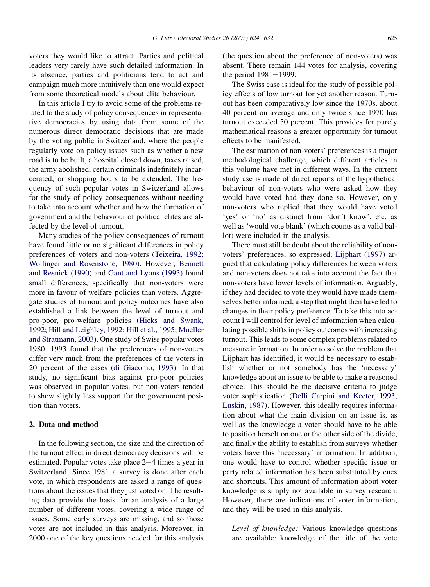voters they would like to attract. Parties and political leaders very rarely have such detailed information. In its absence, parties and politicians tend to act and campaign much more intuitively than one would expect from some theoretical models about elite behaviour.

In this article I try to avoid some of the problems related to the study of policy consequences in representative democracies by using data from some of the numerous direct democratic decisions that are made by the voting public in Switzerland, where the people regularly vote on policy issues such as whether a new road is to be built, a hospital closed down, taxes raised, the army abolished, certain criminals indefinitely incarcerated, or shopping hours to be extended. The frequency of such popular votes in Switzerland allows for the study of policy consequences without needing to take into account whether and how the formation of government and the behaviour of political elites are affected by the level of turnout.

Many studies of the policy consequences of turnout have found little or no significant differences in policy preferences of voters and non-voters [\(Teixeira, 1992;](#page-17-0) [Wolfinger and Rosenstone, 1980](#page-17-0)). However, [Bennett](#page-17-0) [and Resnick \(1990\)](#page-17-0) and [Gant and Lyons \(1993\)](#page-17-0) found small differences, specifically that non-voters were more in favour of welfare policies than voters. Aggregate studies of turnout and policy outcomes have also established a link between the level of turnout and pro-poor, pro-welfare policies [\(Hicks and Swank,](#page-17-0) [1992; Hill and Leighley, 1992; Hill et al., 1995; Mueller](#page-17-0) [and Stratmann, 2003\)](#page-17-0). One study of Swiss popular votes  $1980-1993$  found that the preferences of non-voters differ very much from the preferences of the voters in 20 percent of the cases ([di Giacomo, 1993\)](#page-17-0). In that study, no significant bias against pro-poor policies was observed in popular votes, but non-voters tended to show slightly less support for the government position than voters.

## 2. Data and method

In the following section, the size and the direction of the turnout effect in direct democracy decisions will be estimated. Popular votes take place  $2-4$  times a year in Switzerland. Since 1981 a survey is done after each vote, in which respondents are asked a range of questions about the issues that they just voted on. The resulting data provide the basis for an analysis of a large number of different votes, covering a wide range of issues. Some early surveys are missing, and so those votes are not included in this analysis. Moreover, in 2000 one of the key questions needed for this analysis

(the question about the preference of non-voters) was absent. There remain 144 votes for analysis, covering the period  $1981-1999$ .

The Swiss case is ideal for the study of possible policy effects of low turnout for yet another reason. Turnout has been comparatively low since the 1970s, about 40 percent on average and only twice since 1970 has turnout exceeded 50 percent. This provides for purely mathematical reasons a greater opportunity for turnout effects to be manifested.

The estimation of non-voters' preferences is a major methodological challenge, which different articles in this volume have met in different ways. In the current study use is made of direct reports of the hypothetical behaviour of non-voters who were asked how they would have voted had they done so. However, only non-voters who replied that they would have voted 'yes' or 'no' as distinct from 'don't know', etc. as well as 'would vote blank' (which counts as a valid ballot) were included in the analysis.

There must still be doubt about the reliability of nonvoters' preferences, so expressed. [Lijphart \(1997\)](#page-17-0) argued that calculating policy differences between voters and non-voters does not take into account the fact that non-voters have lower levels of information. Arguably, if they had decided to vote they would have made themselves better informed, a step that might then have led to changes in their policy preference. To take this into account I will control for level of information when calculating possible shifts in policy outcomes with increasing turnout. This leads to some complex problems related to measure information. In order to solve the problem that Lijphart has identified, it would be necessary to establish whether or not somebody has the 'necessary' knowledge about an issue to be able to make a reasoned choice. This should be the decisive criteria to judge voter sophistication ([Delli Carpini and Keeter, 1993;](#page-17-0) [Luskin, 1987](#page-17-0)). However, this ideally requires information about what the main division on an issue is, as well as the knowledge a voter should have to be able to position herself on one or the other side of the divide, and finally the ability to establish from surveys whether voters have this 'necessary' information. In addition, one would have to control whether specific issue or party related information has been substituted by cues and shortcuts. This amount of information about voter knowledge is simply not available in survey research. However, there are indications of voter information, and they will be used in this analysis.

Level of knowledge: Various knowledge questions are available: knowledge of the title of the vote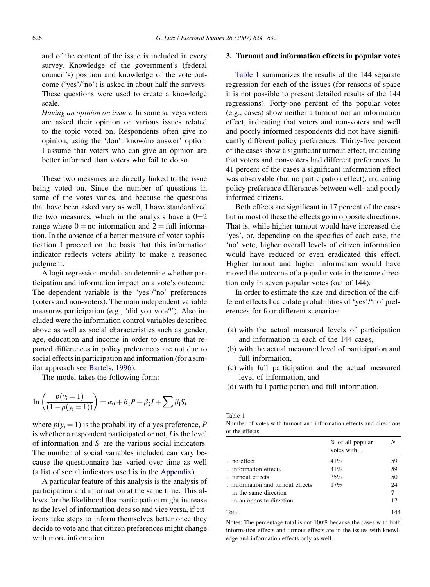and of the content of the issue is included in every survey. Knowledge of the government's (federal council's) position and knowledge of the vote outcome ('yes'/'no') is asked in about half the surveys. These questions were used to create a knowledge scale.

Having an opinion on issues: In some surveys voters are asked their opinion on various issues related to the topic voted on. Respondents often give no opinion, using the 'don't know/no answer' option. I assume that voters who can give an opinion are better informed than voters who fail to do so.

These two measures are directly linked to the issue being voted on. Since the number of questions in some of the votes varies, and because the questions that have been asked vary as well, I have standardized the two measures, which in the analysis have a  $0-2$ range where  $0 =$  no information and  $2 =$  full information. In the absence of a better measure of voter sophistication I proceed on the basis that this information indicator reflects voters ability to make a reasoned judgment.

A logit regression model can determine whether participation and information impact on a vote's outcome. The dependent variable is the 'yes'/'no' preferences (voters and non-voters). The main independent variable measures participation (e.g., 'did you vote?'). Also included were the information control variables described above as well as social characteristics such as gender, age, education and income in order to ensure that reported differences in policy preferences are not due to social effects in participation and information (for a similar approach see [Bartels, 1996](#page-17-0)).

The model takes the following form:

$$
\ln\left(\frac{p(y_i = 1)}{(1 - p(y_i = 1))}\right) = \alpha_0 + \beta_1 P + \beta_2 I + \sum \beta_i S_i
$$

where  $p(y_i = 1)$  is the probability of a yes preference, P is whether a respondent participated or not,  $I$  is the level of information and  $S_i$  are the various social indicators. The number of social variables included can vary because the questionnaire has varied over time as well (a list of social indicators used is in the [Appendix\)](#page-16-0).

A particular feature of this analysis is the analysis of participation and information at the same time. This allows for the likelihood that participation might increase as the level of information does so and vice versa, if citizens take steps to inform themselves better once they decide to vote and that citizen preferences might change with more information.

#### 3. Turnout and information effects in popular votes

Table 1 summarizes the results of the 144 separate regression for each of the issues (for reasons of space it is not possible to present detailed results of the 144 regressions). Forty-one percent of the popular votes (e.g., cases) show neither a turnout nor an information effect, indicating that voters and non-voters and well and poorly informed respondents did not have significantly different policy preferences. Thirty-five percent of the cases show a significant turnout effect, indicating that voters and non-voters had different preferences. In 41 percent of the cases a significant information effect was observable (but no participation effect), indicating policy preference differences between well- and poorly informed citizens.

Both effects are significant in 17 percent of the cases but in most of these the effects go in opposite directions. That is, while higher turnout would have increased the 'yes', or, depending on the specifics of each case, the 'no' vote, higher overall levels of citizen information would have reduced or even eradicated this effect. Higher turnout and higher information would have moved the outcome of a popular vote in the same direction only in seven popular votes (out of 144).

In order to estimate the size and direction of the different effects I calculate probabilities of 'yes'/'no' preferences for four different scenarios:

- (a) with the actual measured levels of participation and information in each of the 144 cases,
- (b) with the actual measured level of participation and full information,
- (c) with full participation and the actual measured level of information, and
- (d) with full participation and full information.

Table 1

Number of votes with turnout and information effects and directions of the effects

|                                 | % of all popular<br>votes with | N  |
|---------------------------------|--------------------------------|----|
| $\ldots$ no effect              | 41%                            | 59 |
| information effects             | 41%                            | 59 |
| turnout effects                 | 35%                            | 50 |
| information and turnout effects | 17%                            | 24 |
| in the same direction           |                                | 7  |
| in an opposite direction        |                                | 17 |
| Total                           |                                |    |

Notes: The percentage total is not 100% because the cases with both information effects and turnout effects are in the issues with knowledge and information effects only as well.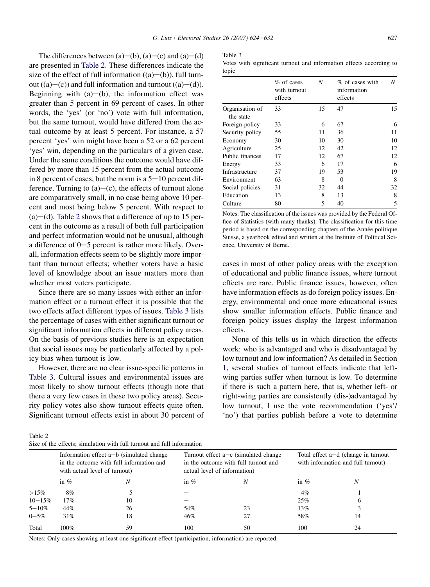The differences between  $(a)$ – $(b)$ ,  $(a)$ – $(c)$  and  $(a)$ – $(d)$ are presented in Table 2. These differences indicate the size of the effect of full information  $((a)–(b))$ , full turnout  $((a)–(c))$  and full information and turnout  $((a)–(d))$ . Beginning with  $(a)$ – $(b)$ , the information effect was greater than 5 percent in 69 percent of cases. In other words, the 'yes' (or 'no') vote with full information, but the same turnout, would have differed from the actual outcome by at least 5 percent. For instance, a 57 percent 'yes' win might have been a 52 or a 62 percent 'yes' win, depending on the particulars of a given case. Under the same conditions the outcome would have differed by more than 15 percent from the actual outcome in 8 percent of cases, but the norm is a  $5-10$  percent difference. Turning to  $(a)$ – $(c)$ , the effects of turnout alone are comparatively small, in no case being above 10 percent and most being below 5 percent. With respect to  $(a)$ –(d), Table 2 shows that a difference of up to 15 percent in the outcome as a result of both full participation and perfect information would not be unusual, although a difference of  $0-5$  percent is rather more likely. Overall, information effects seem to be slightly more important than turnout effects; whether voters have a basic level of knowledge about an issue matters more than whether most voters participate.

Since there are so many issues with either an information effect or a turnout effect it is possible that the two effects affect different types of issues. Table 3 lists the percentage of cases with either significant turnout or significant information effects in different policy areas. On the basis of previous studies here is an expectation that social issues may be particularly affected by a policy bias when turnout is low.

However, there are no clear issue-specific patterns in Table 3. Cultural issues and environmental issues are most likely to show turnout effects (though note that there a very few cases in these two policy areas). Security policy votes also show turnout effects quite often. Significant turnout effects exist in about 30 percent of Table 3

|       |  |  | Votes with significant turnout and information effects according to |  |  |
|-------|--|--|---------------------------------------------------------------------|--|--|
| topic |  |  |                                                                     |  |  |

|                              | % of cases<br>with turnout<br>effects | N  | % of cases with<br>information<br>effects | N  |
|------------------------------|---------------------------------------|----|-------------------------------------------|----|
| Organisation of<br>the state | 33                                    | 15 | 47                                        | 15 |
| Foreign policy               | 33                                    | 6  | 67                                        | 6  |
| Security policy              | 55                                    | 11 | 36                                        | 11 |
| Economy                      | 30                                    | 10 | 30                                        | 10 |
| Agriculture                  | 25                                    | 12 | 42                                        | 12 |
| Public finances              | 17                                    | 12 | 67                                        | 12 |
| Energy                       | 33                                    | 6  | 17                                        | 6  |
| Infrastructure               | 37                                    | 19 | 53                                        | 19 |
| Environment                  | 63                                    | 8  | $\theta$                                  | 8  |
| Social policies              | 31                                    | 32 | 44                                        | 32 |
| Education                    | 13                                    | 8  | 13                                        | 8  |
| Culture                      | 80                                    | 5  | 40                                        | 5  |

Notes: The classification of the issues was provided by the Federal Office of Statistics (with many thanks). The classification for this time period is based on the corresponding chapters of the Année politique Suisse, a yearbook edited and written at the Institute of Political Science, University of Berne.

cases in most of other policy areas with the exception of educational and public finance issues, where turnout effects are rare. Public finance issues, however, often have information effects as do foreign policy issues. Energy, environmental and once more educational issues show smaller information effects. Public finance and foreign policy issues display the largest information effects.

None of this tells us in which direction the effects work: who is advantaged and who is disadvantaged by low turnout and low information? As detailed in Section 1, several studies of turnout effects indicate that leftwing parties suffer when turnout is low. To determine if there is such a pattern here, that is, whether left- or right-wing parties are consistently (dis-)advantaged by low turnout, I use the vote recommendation ('yes'/ 'no') that parties publish before a vote to determine

Table 2

|  |  |  |  |  |  | Size of the effects: simulation with full turnout and full information |
|--|--|--|--|--|--|------------------------------------------------------------------------|
|--|--|--|--|--|--|------------------------------------------------------------------------|

|             | Information effect $a-b$ (simulated change<br>in the outcome with full information and<br>with actual level of turnout) |    | Turnout effect $a-c$ (simulated change<br>in the outcome with full turnout and<br>actual level of information) |    | Total effect a-d (change in turnout)<br>with information and full turnout) |    |
|-------------|-------------------------------------------------------------------------------------------------------------------------|----|----------------------------------------------------------------------------------------------------------------|----|----------------------------------------------------------------------------|----|
|             | in $%$                                                                                                                  |    | in $%$                                                                                                         | N  | in $%$                                                                     | N  |
| $>15\%$     | 8%                                                                                                                      |    |                                                                                                                |    | $4\%$                                                                      |    |
| $10 - 15\%$ | 17%                                                                                                                     | 10 |                                                                                                                |    | 25%                                                                        |    |
| $5 - 10\%$  | 44%                                                                                                                     | 26 | 54%                                                                                                            | 23 | 13%                                                                        |    |
| $0 - 5\%$   | 31%                                                                                                                     | 18 | 46%                                                                                                            | 27 | 58%                                                                        | 14 |
| Total       | 100%                                                                                                                    | 59 | 100                                                                                                            | 50 | 100                                                                        | 24 |

Notes: Only cases showing at least one significant effect (participation, information) are reported.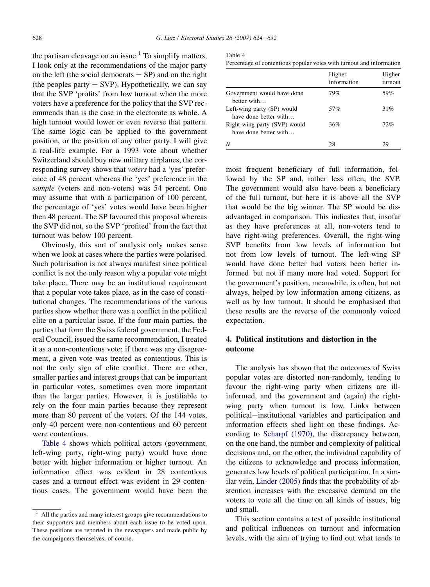the partisan cleavage on an issue.<sup>1</sup> To simplify matters, I look only at the recommendations of the major party on the left (the social democrats  $-$  SP) and on the right (the peoples party  $-$  SVP). Hypothetically, we can say that the SVP 'profits' from low turnout when the more voters have a preference for the policy that the SVP recommends than is the case in the electorate as whole. A high turnout would lower or even reverse that pattern. The same logic can be applied to the government position, or the position of any other party. I will give a real-life example. For a 1993 vote about whether Switzerland should buy new military airplanes, the corresponding survey shows that voters had a 'yes' preference of 48 percent whereas the 'yes' preference in the sample (voters and non-voters) was 54 percent. One may assume that with a participation of 100 percent, the percentage of 'yes' votes would have been higher then 48 percent. The SP favoured this proposal whereas the SVP did not, so the SVP 'profited' from the fact that turnout was below 100 percent.

Obviously, this sort of analysis only makes sense when we look at cases where the parties were polarised. Such polarisation is not always manifest since political conflict is not the only reason why a popular vote might take place. There may be an institutional requirement that a popular vote takes place, as in the case of constitutional changes. The recommendations of the various parties show whether there was a conflict in the political elite on a particular issue. If the four main parties, the parties that form the Swiss federal government, the Federal Council, issued the same recommendation, I treated it as a non-contentious vote; if there was any disagreement, a given vote was treated as contentious. This is not the only sign of elite conflict. There are other, smaller parties and interest groups that can be important in particular votes, sometimes even more important than the larger parties. However, it is justifiable to rely on the four main parties because they represent more than 80 percent of the voters. Of the 144 votes, only 40 percent were non-contentious and 60 percent were contentious.

Table 4 shows which political actors (government, left-wing party, right-wing party) would have done better with higher information or higher turnout. An information effect was evident in 28 contentious cases and a turnout effect was evident in 29 contentious cases. The government would have been the

|--|--|

|                                                       | Higher<br>information | Higher<br>turnout |
|-------------------------------------------------------|-----------------------|-------------------|
| Government would have done<br>better with             | 79%                   | 59%               |
| Left-wing party (SP) would<br>have done better with   | 57%                   | 31%               |
| Right-wing party (SVP) would<br>have done better with | 36%                   | 72%               |
| N                                                     | 28                    | 29                |

most frequent beneficiary of full information, followed by the SP and, rather less often, the SVP. The government would also have been a beneficiary of the full turnout, but here it is above all the SVP that would be the big winner. The SP would be disadvantaged in comparison. This indicates that, insofar as they have preferences at all, non-voters tend to have right-wing preferences. Overall, the right-wing SVP benefits from low levels of information but not from low levels of turnout. The left-wing SP would have done better had voters been better informed but not if many more had voted. Support for the government's position, meanwhile, is often, but not always, helped by low information among citizens, as well as by low turnout. It should be emphasised that these results are the reverse of the commonly voiced expectation.

# 4. Political institutions and distortion in the outcome

The analysis has shown that the outcomes of Swiss popular votes are distorted non-randomly, tending to favour the right-wing party when citizens are illinformed, and the government and (again) the rightwing party when turnout is low. Links between political-institutional variables and participation and information effects shed light on these findings. According to [Scharpf \(1970\),](#page-17-0) the discrepancy between, on the one hand, the number and complexity of political decisions and, on the other, the individual capability of the citizens to acknowledge and process information, generates low levels of political participation. In a similar vein, [Linder \(2005\)](#page-17-0) finds that the probability of abstention increases with the excessive demand on the voters to vote all the time on all kinds of issues, big and small.

This section contains a test of possible institutional and political influences on turnout and information levels, with the aim of trying to find out what tends to

<sup>1</sup> All the parties and many interest groups give recommendations to their supporters and members about each issue to be voted upon. These positions are reported in the newspapers and made public by the campaigners themselves, of course.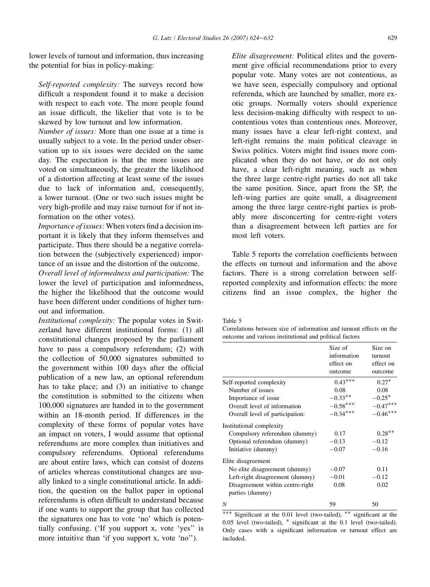lower levels of turnout and information, thus increasing the potential for bias in policy-making:

Self-reported complexity: The surveys record how difficult a respondent found it to make a decision with respect to each vote. The more people found an issue difficult, the likelier that vote is to be skewed by low turnout and low information.

Number of issues: More than one issue at a time is usually subject to a vote. In the period under observation up to six issues were decided on the same day. The expectation is that the more issues are voted on simultaneously, the greater the likelihood of a distortion affecting at least some of the issues due to lack of information and, consequently, a lower turnout. (One or two such issues might be very high-profile and may raise turnout for if not information on the other votes).

Importance of issues: When voters find a decision important it is likely that they inform themselves and participate. Thus there should be a negative correlation between the (subjectively experienced) importance of an issue and the distortion of the outcome.

Overall level of informedness and participation: The lower the level of participation and informedness, the higher the likelihood that the outcome would have been different under conditions of higher turnout and information.

Institutional complexity: The popular votes in Switzerland have different institutional forms: (1) all constitutional changes proposed by the parliament have to pass a compulsory referendum; (2) with the collection of 50,000 signatures submitted to the government within 100 days after the official publication of a new law, an optional referendum has to take place; and (3) an initiative to change the constitution is submitted to the citizens when 100,000 signatures are handed in to the government within an 18-month period. If differences in the complexity of these forms of popular votes have an impact on voters, I would assume that optional referendums are more complex than initiatives and compulsory referendums. Optional referendums are about entire laws, which can consist of dozens of articles whereas constitutional changes are usually linked to a single constitutional article. In addition, the question on the ballot paper in optional referendums is often difficult to understand because if one wants to support the group that has collected the signatures one has to vote 'no' which is potentially confusing. ('If you support x, vote 'yes'' is more intuitive than 'if you support x, vote 'no'').

Elite disagreement: Political elites and the government give official recommendations prior to every popular vote. Many votes are not contentious, as we have seen, especially compulsory and optional referenda, which are launched by smaller, more exotic groups. Normally voters should experience less decision-making difficulty with respect to uncontentious votes than contentious ones. Moreover, many issues have a clear left-right context, and left-right remains the main political cleavage in Swiss politics. Voters might find issues more complicated when they do not have, or do not only have, a clear left-right meaning, such as when the three large centre-right parties do not all take the same position. Since, apart from the SP, the left-wing parties are quite small, a disagreement among the three large centre-right parties is probably more disconcerting for centre-right voters than a disagreement between left parties are for most left voters.

Table 5 reports the correlation coefficients between the effects on turnout and information and the above factors. There is a strong correlation between selfreported complexity and information effects: the more citizens find an issue complex, the higher the

Table 5

Correlations between size of information and turnout effects on the outcome and various institutional and political factors

|                                  | Size of     | Size on    |
|----------------------------------|-------------|------------|
|                                  | information | turnout    |
|                                  | effect on   | effect on  |
|                                  | outcome     | outcome    |
| Self-reported complexity         | $0.43***$   | $0.27*$    |
| Number of issues                 | 0.08        | 0.08       |
| Importance of issue              | $-0.33**$   | $-0.25*$   |
| Overall level of information     | $-0.58***$  | $-0.47***$ |
| Overall level of participation:  | $-0.34***$  | $-0.46***$ |
| Institutional complexity         |             |            |
| Compulsory referendum (dummy)    | 0.17        | $0.28**$   |
| Optional referendum (dummy)      | $-0.13$     | $-0.12$    |
| Initiative (dummy)               | $-0.07$     | $-0.16$    |
| Elite disagreement               |             |            |
| No elite disagreement (dummy)    | $-0.07$     | 0.11       |
| Left-right disagreement (dummy)  | $-0.01$     | $-0.12$    |
| Disagreement within centre-right | 0.08        | 0.02       |
| parties (dummy)                  |             |            |
| N                                | 59          | 50         |

 $***$  Significant at the 0.01 level (two-tailed),  $**$  significant at the  $0.05$  level (two-tailed),  $*$  significant at the  $0.1$  level (two-tailed). Only cases with a significant information or turnout effect are included.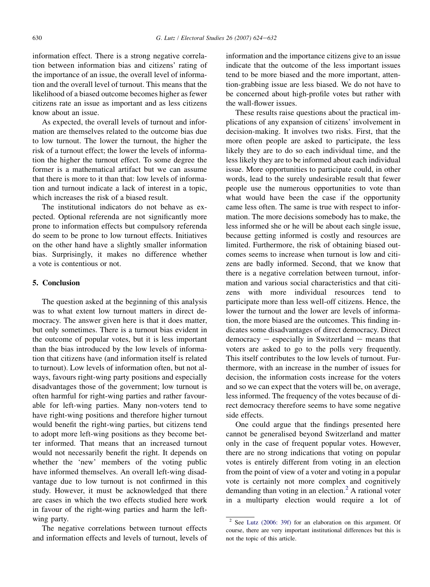information effect. There is a strong negative correlation between information bias and citizens' rating of the importance of an issue, the overall level of information and the overall level of turnout. This means that the likelihood of a biased outcome becomes higher as fewer citizens rate an issue as important and as less citizens know about an issue.

As expected, the overall levels of turnout and information are themselves related to the outcome bias due to low turnout. The lower the turnout, the higher the risk of a turnout effect; the lower the levels of information the higher the turnout effect. To some degree the former is a mathematical artifact but we can assume that there is more to it than that: low levels of information and turnout indicate a lack of interest in a topic, which increases the risk of a biased result.

The institutional indicators do not behave as expected. Optional referenda are not significantly more prone to information effects but compulsory referenda do seem to be prone to low turnout effects. Initiatives on the other hand have a slightly smaller information bias. Surprisingly, it makes no difference whether a vote is contentious or not.

# 5. Conclusion

The question asked at the beginning of this analysis was to what extent low turnout matters in direct democracy. The answer given here is that it does matter, but only sometimes. There is a turnout bias evident in the outcome of popular votes, but it is less important than the bias introduced by the low levels of information that citizens have (and information itself is related to turnout). Low levels of information often, but not always, favours right-wing party positions and especially disadvantages those of the government; low turnout is often harmful for right-wing parties and rather favourable for left-wing parties. Many non-voters tend to have right-wing positions and therefore higher turnout would benefit the right-wing parties, but citizens tend to adopt more left-wing positions as they become better informed. That means that an increased turnout would not necessarily benefit the right. It depends on whether the 'new' members of the voting public have informed themselves. An overall left-wing disadvantage due to low turnout is not confirmed in this study. However, it must be acknowledged that there are cases in which the two effects studied here work in favour of the right-wing parties and harm the leftwing party.

The negative correlations between turnout effects and information effects and levels of turnout, levels of information and the importance citizens give to an issue indicate that the outcome of the less important issues tend to be more biased and the more important, attention-grabbing issue are less biased. We do not have to be concerned about high-profile votes but rather with the wall-flower issues.

These results raise questions about the practical implications of any expansion of citizens' involvement in decision-making. It involves two risks. First, that the more often people are asked to participate, the less likely they are to do so each individual time, and the less likely they are to be informed about each individual issue. More opportunities to participate could, in other words, lead to the surely undesirable result that fewer people use the numerous opportunities to vote than what would have been the case if the opportunity came less often. The same is true with respect to information. The more decisions somebody has to make, the less informed she or he will be about each single issue, because getting informed is costly and resources are limited. Furthermore, the risk of obtaining biased outcomes seems to increase when turnout is low and citizens are badly informed. Second, that we know that there is a negative correlation between turnout, information and various social characteristics and that citizens with more individual resources tend to participate more than less well-off citizens. Hence, the lower the turnout and the lower are levels of information, the more biased are the outcomes. This finding indicates some disadvantages of direct democracy. Direct  $demoracy - especially in Switzerland - means that$ voters are asked to go to the polls very frequently. This itself contributes to the low levels of turnout. Furthermore, with an increase in the number of issues for decision, the information costs increase for the voters and so we can expect that the voters will be, on average, less informed. The frequency of the votes because of direct democracy therefore seems to have some negative side effects.

One could argue that the findings presented here cannot be generalised beyond Switzerland and matter only in the case of frequent popular votes. However, there are no strong indications that voting on popular votes is entirely different from voting in an election from the point of view of a voter and voting in a popular vote is certainly not more complex and cognitively demanding than voting in an election. $<sup>2</sup>$  A rational voter</sup> in a multiparty election would require a lot of

<sup>2</sup> See [Lutz \(2006: 39f\)](#page-17-0) for an elaboration on this argument. Of course, there are very important institutional differences but this is not the topic of this article.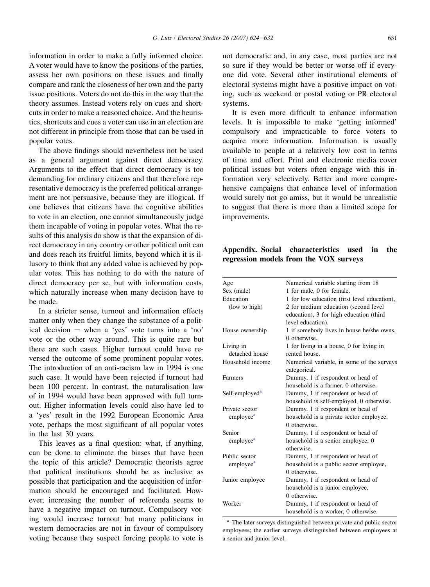<span id="page-16-0"></span>information in order to make a fully informed choice. A voter would have to know the positions of the parties, assess her own positions on these issues and finally compare and rank the closeness of her own and the party issue positions. Voters do not do this in the way that the theory assumes. Instead voters rely on cues and shortcuts in order to make a reasoned choice. And the heuristics, shortcuts and cues a voter can use in an election are not different in principle from those that can be used in popular votes.

The above findings should nevertheless not be used as a general argument against direct democracy. Arguments to the effect that direct democracy is too demanding for ordinary citizens and that therefore representative democracy is the preferred political arrangement are not persuasive, because they are illogical. If one believes that citizens have the cognitive abilities to vote in an election, one cannot simultaneously judge them incapable of voting in popular votes. What the results of this analysis do show is that the expansion of direct democracy in any country or other political unit can and does reach its fruitful limits, beyond which it is illusory to think that any added value is achieved by popular votes. This has nothing to do with the nature of direct democracy per se, but with information costs, which naturally increase when many decision have to be made.

In a stricter sense, turnout and information effects matter only when they change the substance of a political decision  $-$  when a 'yes' vote turns into a 'no' vote or the other way around. This is quite rare but there are such cases. Higher turnout could have reversed the outcome of some prominent popular votes. The introduction of an anti-racism law in 1994 is one such case. It would have been rejected if turnout had been 100 percent. In contrast, the naturalisation law of in 1994 would have been approved with full turnout. Higher information levels could also have led to a 'yes' result in the 1992 European Economic Area vote, perhaps the most significant of all popular votes in the last 30 years.

This leaves as a final question: what, if anything, can be done to eliminate the biases that have been the topic of this article? Democratic theorists agree that political institutions should be as inclusive as possible that participation and the acquisition of information should be encouraged and facilitated. However, increasing the number of referenda seems to have a negative impact on turnout. Compulsory voting would increase turnout but many politicians in western democracies are not in favour of compulsory voting because they suspect forcing people to vote is not democratic and, in any case, most parties are not so sure if they would be better or worse off if everyone did vote. Several other institutional elements of electoral systems might have a positive impact on voting, such as weekend or postal voting or PR electoral systems.

It is even more difficult to enhance information levels. It is impossible to make 'getting informed' compulsory and impracticable to force voters to acquire more information. Information is usually available to people at a relatively low cost in terms of time and effort. Print and electronic media cover political issues but voters often engage with this information very selectively. Better and more comprehensive campaigns that enhance level of information would surely not go amiss, but it would be unrealistic to suggest that there is more than a limited scope for improvements.

# Appendix. Social characteristics used in the regression models from the VOX surveys

| Age                        | Numerical variable starting from 18          |
|----------------------------|----------------------------------------------|
| Sex (male)                 | 1 for male, 0 for female.                    |
| Education                  | 1 for low education (first level education), |
| (low to high)              | 2 for medium education (second level         |
|                            | education), 3 for high education (third      |
|                            | level education).                            |
| House ownership            | 1 if somebody lives in house he/she owns,    |
|                            | 0 otherwise.                                 |
| Living in                  | 1 for living in a house, 0 for living in     |
| detached house             | rented house.                                |
| Household income           | Numerical variable, in some of the surveys   |
|                            | categorical.                                 |
| Farmers                    | Dummy, 1 if respondent or head of            |
|                            | household is a farmer, 0 otherwise.          |
| Self-employed <sup>a</sup> | Dummy, 1 if respondent or head of            |
|                            | household is self-employed, 0 otherwise.     |
| Private sector             | Dummy, 1 if respondent or head of            |
| employee <sup>a</sup>      | household is a private sector employee,      |
|                            | 0 otherwise.                                 |
| Senior                     | Dummy, 1 if respondent or head of            |
| employee <sup>a</sup>      | household is a senior employee, 0            |
|                            | otherwise.                                   |
| Public sector              | Dummy, 1 if respondent or head of            |
| employee <sup>a</sup>      | household is a public sector employee,       |
|                            | 0 otherwise                                  |
| Junior employee            | Dummy, 1 if respondent or head of            |
|                            | household is a junior employee,              |
|                            | 0 otherwise.                                 |
| Worker                     | Dummy, 1 if respondent or head of            |
|                            | household is a worker, 0 otherwise.          |

<sup>a</sup> The later surveys distinguished between private and public sector employees; the earlier surveys distinguished between employees at a senior and junior level.